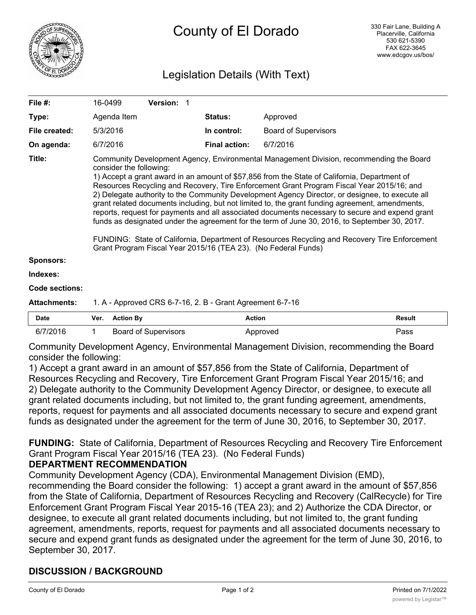

# Legislation Details (With Text)

| File $#$ :          | 16-0499                                                                                                                                                                                                                                                                                                                                                                                                                                                                                                                                                                                                                                                                                                                                                                                                                                                                                      | <b>Version: 1</b> |                      |                             |               |  |  |
|---------------------|----------------------------------------------------------------------------------------------------------------------------------------------------------------------------------------------------------------------------------------------------------------------------------------------------------------------------------------------------------------------------------------------------------------------------------------------------------------------------------------------------------------------------------------------------------------------------------------------------------------------------------------------------------------------------------------------------------------------------------------------------------------------------------------------------------------------------------------------------------------------------------------------|-------------------|----------------------|-----------------------------|---------------|--|--|
| Type:               | Agenda Item                                                                                                                                                                                                                                                                                                                                                                                                                                                                                                                                                                                                                                                                                                                                                                                                                                                                                  |                   | <b>Status:</b>       | Approved                    |               |  |  |
| File created:       | 5/3/2016                                                                                                                                                                                                                                                                                                                                                                                                                                                                                                                                                                                                                                                                                                                                                                                                                                                                                     |                   | In control:          | <b>Board of Supervisors</b> |               |  |  |
| On agenda:          | 6/7/2016                                                                                                                                                                                                                                                                                                                                                                                                                                                                                                                                                                                                                                                                                                                                                                                                                                                                                     |                   | <b>Final action:</b> | 6/7/2016                    |               |  |  |
| Title:              | Community Development Agency, Environmental Management Division, recommending the Board<br>consider the following:<br>1) Accept a grant award in an amount of \$57,856 from the State of California, Department of<br>Resources Recycling and Recovery, Tire Enforcement Grant Program Fiscal Year 2015/16; and<br>2) Delegate authority to the Community Development Agency Director, or designee, to execute all<br>grant related documents including, but not limited to, the grant funding agreement, amendments,<br>reports, request for payments and all associated documents necessary to secure and expend grant<br>funds as designated under the agreement for the term of June 30, 2016, to September 30, 2017.<br>FUNDING: State of California, Department of Resources Recycling and Recovery Tire Enforcement<br>Grant Program Fiscal Year 2015/16 (TEA 23). (No Federal Funds) |                   |                      |                             |               |  |  |
| <b>Sponsors:</b>    |                                                                                                                                                                                                                                                                                                                                                                                                                                                                                                                                                                                                                                                                                                                                                                                                                                                                                              |                   |                      |                             |               |  |  |
| Indexes:            |                                                                                                                                                                                                                                                                                                                                                                                                                                                                                                                                                                                                                                                                                                                                                                                                                                                                                              |                   |                      |                             |               |  |  |
| Code sections:      |                                                                                                                                                                                                                                                                                                                                                                                                                                                                                                                                                                                                                                                                                                                                                                                                                                                                                              |                   |                      |                             |               |  |  |
| <b>Attachments:</b> | 1. A - Approved CRS 6-7-16, 2. B - Grant Agreement 6-7-16                                                                                                                                                                                                                                                                                                                                                                                                                                                                                                                                                                                                                                                                                                                                                                                                                                    |                   |                      |                             |               |  |  |
| <b>Date</b>         | <b>Action By</b><br>Ver.                                                                                                                                                                                                                                                                                                                                                                                                                                                                                                                                                                                                                                                                                                                                                                                                                                                                     |                   | <b>Action</b>        |                             | <b>Result</b> |  |  |

| <b>Date</b> | Ver. | <b>Action By</b>            | Action   | Result |
|-------------|------|-----------------------------|----------|--------|
| 6/7/2016    |      | <b>Board of Supervisors</b> | Approved | ⊓ass   |

Community Development Agency, Environmental Management Division, recommending the Board consider the following:

1) Accept a grant award in an amount of \$57,856 from the State of California, Department of Resources Recycling and Recovery, Tire Enforcement Grant Program Fiscal Year 2015/16; and 2) Delegate authority to the Community Development Agency Director, or designee, to execute all grant related documents including, but not limited to, the grant funding agreement, amendments, reports, request for payments and all associated documents necessary to secure and expend grant funds as designated under the agreement for the term of June 30, 2016, to September 30, 2017.

**FUNDING:** State of California, Department of Resources Recycling and Recovery Tire Enforcement Grant Program Fiscal Year 2015/16 (TEA 23). (No Federal Funds)

# **DEPARTMENT RECOMMENDATION**

Community Development Agency (CDA), Environmental Management Division (EMD),

recommending the Board consider the following: 1) accept a grant award in the amount of \$57,856 from the State of California, Department of Resources Recycling and Recovery (CalRecycle) for Tire Enforcement Grant Program Fiscal Year 2015-16 (TEA 23); and 2) Authorize the CDA Director, or designee, to execute all grant related documents including, but not limited to, the grant funding agreement, amendments, reports, request for payments and all associated documents necessary to secure and expend grant funds as designated under the agreement for the term of June 30, 2016, to September 30, 2017.

# **DISCUSSION / BACKGROUND**